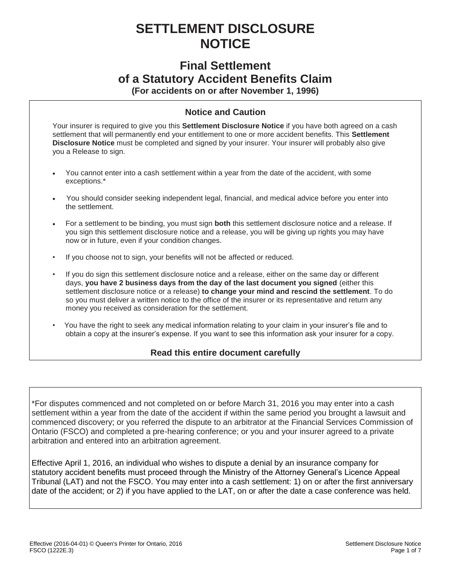# **SETTLEMENT DISCLOSURE NOTICE**

# **Final Settlement of a Statutory Accident Benefits Claim**

**(For accidents on or after November 1, 1996)**

## **Notice and Caution**

Your insurer is required to give you this **Settlement Disclosure Notice** if you have both agreed on a cash settlement that will permanently end your entitlement to one or more accident benefits. This **Settlement Disclosure Notice** must be completed and signed by your insurer. Your insurer will probably also give you a Release to sign.

- You cannot enter into a cash settlement within a year from the date of the accident, with some exceptions.\*
- You should consider seeking independent legal, financial, and medical advice before you enter into the settlement.
- For a settlement to be binding, you must sign **both** this settlement disclosure notice and a release. If you sign this settlement disclosure notice and a release, you will be giving up rights you may have now or in future, even if your condition changes.
- If you choose not to sign, your benefits will not be affected or reduced.
- If you do sign this settlement disclosure notice and a release, either on the same day or different days, **you have 2 business days from the day of the last document you signed** (either this settlement disclosure notice or a release) **to change your mind and rescind the settlement**. To do so you must deliver a written notice to the office of the insurer or its representative and return any money you received as consideration for the settlement.
- You have the right to seek any medical information relating to your claim in your insurer's file and to obtain a copy at the insurer's expense. If you want to see this information ask your insurer for a copy.

### **Read this entire document carefully**

\*For disputes commenced and not completed on or before March 31, 2016 you may enter into a cash settlement within a year from the date of the accident if within the same period you brought a lawsuit and commenced discovery; or you referred the dispute to an arbitrator at the Financial Services Commission of Ontario (FSCO) and completed a pre-hearing conference; or you and your insurer agreed to a private arbitration and entered into an arbitration agreement.

Effective April 1, 2016, an individual who wishes to dispute a denial by an insurance company for statutory accident benefits must proceed through the Ministry of the Attorney General's Licence Appeal Tribunal (LAT) and not the FSCO. You may enter into a cash settlement: 1) on or after the first anniversary date of the accident; or 2) if you have applied to the LAT, on or after the date a case conference was held.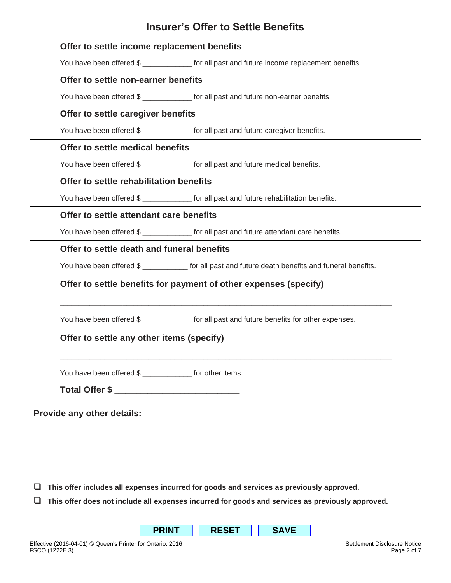# **Insurer's Offer to Settle Benefits**

|                                                                                                          | Offer to settle income replacement benefits                                                       |  |  |  |  |  |  |
|----------------------------------------------------------------------------------------------------------|---------------------------------------------------------------------------------------------------|--|--|--|--|--|--|
|                                                                                                          | You have been offered \$ _______________ for all past and future income replacement benefits.     |  |  |  |  |  |  |
|                                                                                                          | Offer to settle non-earner benefits                                                               |  |  |  |  |  |  |
|                                                                                                          | You have been offered \$ ______________ for all past and future non-earner benefits.              |  |  |  |  |  |  |
|                                                                                                          | Offer to settle caregiver benefits                                                                |  |  |  |  |  |  |
|                                                                                                          | You have been offered \$ _____________ for all past and future caregiver benefits.                |  |  |  |  |  |  |
|                                                                                                          | Offer to settle medical benefits                                                                  |  |  |  |  |  |  |
|                                                                                                          | You have been offered \$ ______________ for all past and future medical benefits.                 |  |  |  |  |  |  |
|                                                                                                          | Offer to settle rehabilitation benefits                                                           |  |  |  |  |  |  |
|                                                                                                          | You have been offered \$ ______________ for all past and future rehabilitation benefits.          |  |  |  |  |  |  |
|                                                                                                          | Offer to settle attendant care benefits                                                           |  |  |  |  |  |  |
|                                                                                                          | You have been offered \$ ____________ for all past and future attendant care benefits.            |  |  |  |  |  |  |
|                                                                                                          | Offer to settle death and funeral benefits                                                        |  |  |  |  |  |  |
|                                                                                                          | You have been offered \$ ___________ for all past and future death benefits and funeral benefits. |  |  |  |  |  |  |
| Offer to settle benefits for payment of other expenses (specify)                                         |                                                                                                   |  |  |  |  |  |  |
|                                                                                                          | You have been offered \$ ___________ for all past and future benefits for other expenses.         |  |  |  |  |  |  |
|                                                                                                          | Offer to settle any other items (specify)                                                         |  |  |  |  |  |  |
| You have been offered \$ ______________ for other items.<br>Total Offer \$ _____________________________ |                                                                                                   |  |  |  |  |  |  |
| Provide any other details:<br>ப                                                                          | This offer includes all expenses incurred for goods and services as previously approved.          |  |  |  |  |  |  |
| This offer does not include all expenses incurred for goods and services as previously approved.<br>⊔    |                                                                                                   |  |  |  |  |  |  |

**PRINT RESET SAVE**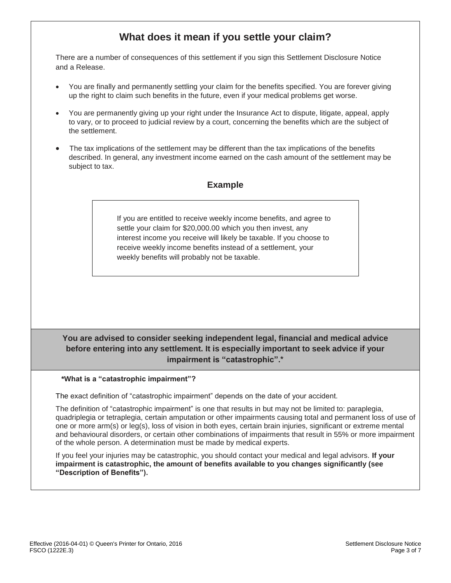# **What does it mean if you settle your claim?**

There are a number of consequences of this settlement if you sign this Settlement Disclosure Notice and a Release.

- You are finally and permanently settling your claim for the benefits specified. You are forever giving up the right to claim such benefits in the future, even if your medical problems get worse.
- You are permanently giving up your right under the Insurance Act to dispute, litigate, appeal, apply to vary, or to proceed to judicial review by a court, concerning the benefits which are the subject of the settlement.
- The tax implications of the settlement may be different than the tax implications of the benefits described. In general, any investment income earned on the cash amount of the settlement may be subject to tax.

### **Example**

If you are entitled to receive weekly income benefits, and agree to settle your claim for \$20,000.00 which you then invest, any interest income you receive will likely be taxable. If you choose to receive weekly income benefits instead of a settlement, your weekly benefits will probably not be taxable.

### **You are advised to consider seeking independent legal, financial and medical advice before entering into any settlement. It is especially important to seek advice if your impairment is "catastrophic".\***

#### **\*What is a "catastrophic impairment"?**

The exact definition of "catastrophic impairment" depends on the date of your accident.

The definition of "catastrophic impairment" is one that results in but may not be limited to: paraplegia, quadriplegia or tetraplegia, certain amputation or other impairments causing total and permanent loss of use of one or more arm(s) or leg(s), loss of vision in both eyes, certain brain injuries, significant or extreme mental and behavioural disorders, or certain other combinations of impairments that result in 55% or more impairment of the whole person. A determination must be made by medical experts.

If you feel your injuries may be catastrophic, you should contact your medical and legal advisors. **If your impairment is catastrophic, the amount of benefits available to you changes significantly (see "Description of Benefits").**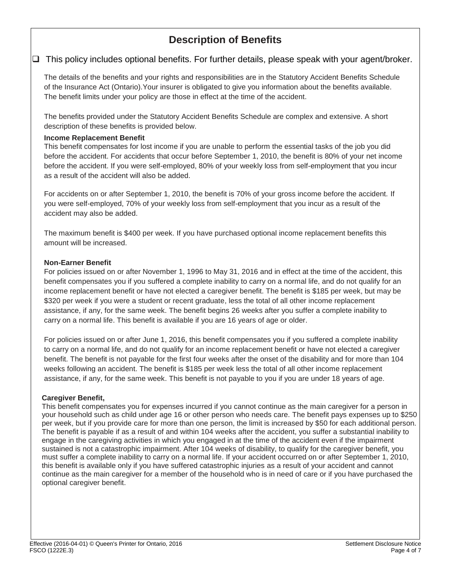# **Description of Benefits**

### $\Box$  This policy includes optional benefits. For further details, please speak with your agent/broker.

The details of the benefits and your rights and responsibilities are in the Statutory Accident Benefits Schedule of the Insurance Act (Ontario).Your insurer is obligated to give you information about the benefits available. The benefit limits under your policy are those in effect at the time of the accident.

The benefits provided under the Statutory Accident Benefits Schedule are complex and extensive. A short description of these benefits is provided below.

### **Income Replacement Benefit**

This benefit compensates for lost income if you are unable to perform the essential tasks of the job you did before the accident. For accidents that occur before September 1, 2010, the benefit is 80% of your net income before the accident. If you were self-employed, 80% of your weekly loss from self-employment that you incur as a result of the accident will also be added.

For accidents on or after September 1, 2010, the benefit is 70% of your gross income before the accident. If you were self-employed, 70% of your weekly loss from self-employment that you incur as a result of the accident may also be added.

The maximum benefit is \$400 per week. If you have purchased optional income replacement benefits this amount will be increased.

### **Non-Earner Benefit**

For policies issued on or after November 1, 1996 to May 31, 2016 and in effect at the time of the accident, this benefit compensates you if you suffered a complete inability to carry on a normal life, and do not qualify for an income replacement benefit or have not elected a caregiver benefit. The benefit is \$185 per week, but may be \$320 per week if you were a student or recent graduate, less the total of all other income replacement assistance, if any, for the same week. The benefit begins 26 weeks after you suffer a complete inability to carry on a normal life. This benefit is available if you are 16 years of age or older.

For policies issued on or after June 1, 2016, this benefit compensates you if you suffered a complete inability to carry on a normal life, and do not qualify for an income replacement benefit or have not elected a caregiver benefit. The benefit is not payable for the first four weeks after the onset of the disability and for more than 104 weeks following an accident. The benefit is \$185 per week less the total of all other income replacement assistance, if any, for the same week. This benefit is not payable to you if you are under 18 years of age.

### **Caregiver Benefit,**

This benefit compensates you for expenses incurred if you cannot continue as the main caregiver for a person in your household such as child under age 16 or other person who needs care. The benefit pays expenses up to \$250 per week, but if you provide care for more than one person, the limit is increased by \$50 for each additional person. The benefit is payable if as a result of and within 104 weeks after the accident, you suffer a substantial inability to engage in the caregiving activities in which you engaged in at the time of the accident even if the impairment sustained is not a catastrophic impairment. After 104 weeks of disability, to qualify for the caregiver benefit, you must suffer a complete inability to carry on a normal life. If your accident occurred on or after September 1, 2010, this benefit is available only if you have suffered catastrophic injuries as a result of your accident and cannot continue as the main caregiver for a member of the household who is in need of care or if you have purchased the optional caregiver benefit.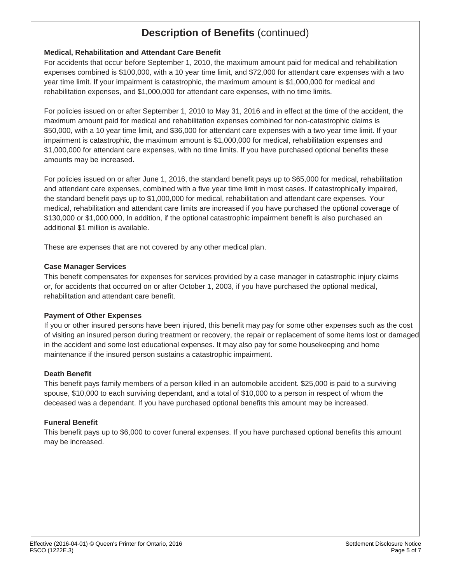# **Description of Benefits** (continued)

### **Medical, Rehabilitation and Attendant Care Benefit**

For accidents that occur before September 1, 2010, the maximum amount paid for medical and rehabilitation expenses combined is \$100,000, with a 10 year time limit, and \$72,000 for attendant care expenses with a two year time limit. If your impairment is catastrophic, the maximum amount is \$1,000,000 for medical and rehabilitation expenses, and \$1,000,000 for attendant care expenses, with no time limits.

For policies issued on or after September 1, 2010 to May 31, 2016 and in effect at the time of the accident, the maximum amount paid for medical and rehabilitation expenses combined for non-catastrophic claims is \$50,000, with a 10 year time limit, and \$36,000 for attendant care expenses with a two year time limit. If your impairment is catastrophic, the maximum amount is \$1,000,000 for medical, rehabilitation expenses and \$1,000,000 for attendant care expenses, with no time limits. If you have purchased optional benefits these amounts may be increased.

For policies issued on or after June 1, 2016, the standard benefit pays up to \$65,000 for medical, rehabilitation and attendant care expenses, combined with a five year time limit in most cases. If catastrophically impaired, the standard benefit pays up to \$1,000,000 for medical, rehabilitation and attendant care expenses. Your medical, rehabilitation and attendant care limits are increased if you have purchased the optional coverage of \$130,000 or \$1,000,000, In addition, if the optional catastrophic impairment benefit is also purchased an additional \$1 million is available.

These are expenses that are not covered by any other medical plan.

#### **Case Manager Services**

This benefit compensates for expenses for services provided by a case manager in catastrophic injury claims or, for accidents that occurred on or after October 1, 2003, if you have purchased the optional medical, rehabilitation and attendant care benefit.

### **Payment of Other Expenses**

If you or other insured persons have been injured, this benefit may pay for some other expenses such as the cost of visiting an insured person during treatment or recovery, the repair or replacement of some items lost or damaged in the accident and some lost educational expenses. It may also pay for some housekeeping and home maintenance if the insured person sustains a catastrophic impairment.

### **Death Benefit**

This benefit pays family members of a person killed in an automobile accident. \$25,000 is paid to a surviving spouse, \$10,000 to each surviving dependant, and a total of \$10,000 to a person in respect of whom the deceased was a dependant. If you have purchased optional benefits this amount may be increased.

### **Funeral Benefit**

This benefit pays up to \$6,000 to cover funeral expenses. If you have purchased optional benefits this amount may be increased.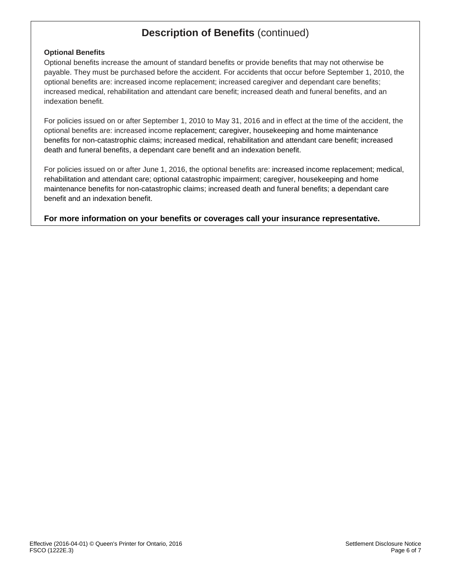# **Description of Benefits** (continued)

### **Optional Benefits**

Optional benefits increase the amount of standard benefits or provide benefits that may not otherwise be payable. They must be purchased before the accident. For accidents that occur before September 1, 2010, the optional benefits are: increased income replacement; increased caregiver and dependant care benefits; increased medical, rehabilitation and attendant care benefit; increased death and funeral benefits, and an indexation benefit.

For policies issued on or after September 1, 2010 to May 31, 2016 and in effect at the time of the accident, the optional benefits are: increased income replacement; caregiver, housekeeping and home maintenance benefits for non-catastrophic claims; increased medical, rehabilitation and attendant care benefit; increased death and funeral benefits, a dependant care benefit and an indexation benefit.

For policies issued on or after June 1, 2016, the optional benefits are: increased income replacement; medical, rehabilitation and attendant care; optional catastrophic impairment; caregiver, housekeeping and home maintenance benefits for non-catastrophic claims; increased death and funeral benefits; a dependant care benefit and an indexation benefit.

**For more information on your benefits or coverages call your insurance representative.**